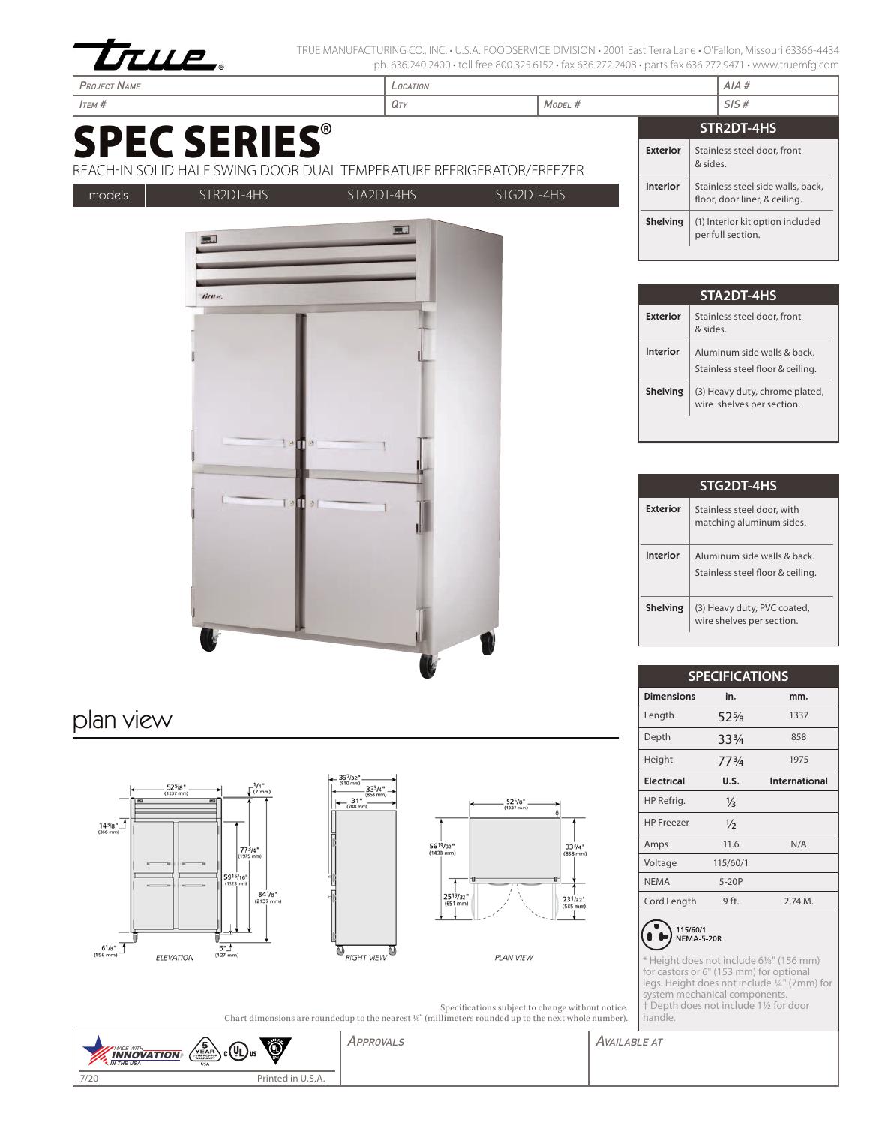

TRUE MANUFACTURING CO., INC. • U.S.A. FOODSERVICE DIVISION • 2001 East Terra Lane • O'Fallon, Missouri 63366-4434 ph. 636.240.2400 • toll free 800.325.6152 • fax 636.272.2408 • parts fax 636.272.9471 • www.truemfg.com

| <b>PROJECT NAME</b>                                                                         | LOCATION   |            |            |  | AIA#            |                                                                    |  |
|---------------------------------------------------------------------------------------------|------------|------------|------------|--|-----------------|--------------------------------------------------------------------|--|
| $I$ TEM $#$                                                                                 | QTY        | MODEL #    |            |  | SIS#            |                                                                    |  |
|                                                                                             |            |            |            |  | STR2DT-4HS      |                                                                    |  |
| <b>SPEC SERIES®</b><br>REACH-IN SOLID HALF SWING DOOR DUAL TEMPERATURE REFRIGERATOR/FREEZER |            |            |            |  | <b>Exterior</b> | Stainless steel door, front<br>& sides.                            |  |
| models                                                                                      | STR2DT-4HS | STA2DT-4HS | STG2DT-4HS |  | Interior        | Stainless steel side walls, back,<br>floor, door liner, & ceiling. |  |
|                                                                                             | Г. н       | □■         |            |  | Shelving        | (1) Interior kit option included<br>per full section.              |  |
|                                                                                             | ljen».     |            |            |  | STA2DT-4HS      |                                                                    |  |
|                                                                                             |            |            |            |  | <b>Exterior</b> | Stainless steel door, front<br>& sides.                            |  |
|                                                                                             |            |            |            |  | <b>Interior</b> | Aluminum side walls & back.<br>Stainless steel floor & ceiling.    |  |

| STG2DT-4HS      |                                                                |  |  |  |
|-----------------|----------------------------------------------------------------|--|--|--|
| Exterior        | Stainless steel door, with<br>matching aluminum sides.         |  |  |  |
| Interior        | Aluminum side walls & back<br>Stainless steel floor & ceiling. |  |  |  |
| <b>Shelving</b> | (3) Heavy duty, PVC coated,<br>wire shelves per section.       |  |  |  |

**Shelving**  $(3)$  Heavy duty, chrome plated, wire shelves per section.

| <b>SPECIFICATIONS</b> |               |                      |  |  |
|-----------------------|---------------|----------------------|--|--|
| <b>Dimensions</b>     | in.           | mm.                  |  |  |
| Length                | $52\%$        | 1337                 |  |  |
| Depth                 | 334           | 858                  |  |  |
| Height                | 773/4         | 1975                 |  |  |
| <b>Electrical</b>     | U.S.          | <b>International</b> |  |  |
| HP Refrig.            | $\frac{1}{2}$ |                      |  |  |
| <b>HP</b> Freezer     | $\frac{1}{2}$ |                      |  |  |
| Amps                  | 11.6          | N/A                  |  |  |
| Voltage               | 115/60/1      |                      |  |  |
| <b>NEMA</b>           | $5-20P$       |                      |  |  |
| Cord Length           | 9 ft.         | $2.74M$ .            |  |  |



\* Height does not include 61/8" (156 mm) for castors or 6" (153 mm) for optional legs. Height does not include 1/4" (7mm) for system mechanical components. † Depth does not include 11/2 for door handle.

|                                                                                                                | Specifications subject to change without notice. |
|----------------------------------------------------------------------------------------------------------------|--------------------------------------------------|
| Chart dimensions are roundedup to the nearest $\frac{1}{2}$ (millimeters rounded up to the next whole number). |                                                  |

APPROVALS AVAILABLE AT ۹ **INNOVATION**<br>IN THE USA 7/20 Printed in U.S.A.

plan view





 $1<sub>0</sub>$ 

ī m 51



525/8"<br>1337 mm)